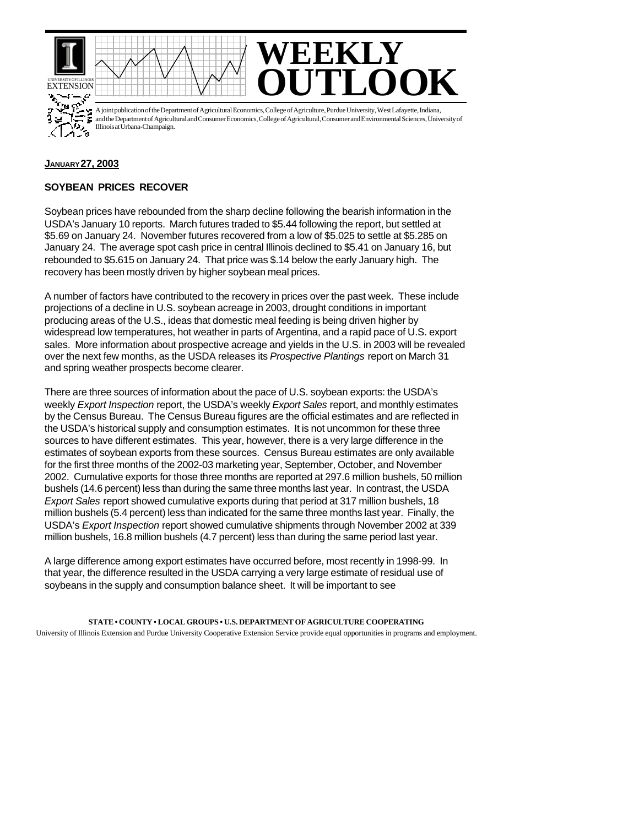



A joint publication of the Department of Agricultural Economics, College of Agriculture, Purdue University, West Lafayette, Indiana, and the Department of Agricultural and Consumer Economics, College of Agricultural, Consumer and Environmental Sciences, University of Illinois at Urbana-Champaign.

## **JANUARY 27, 2003**

## **SOYBEAN PRICES RECOVER**

Soybean prices have rebounded from the sharp decline following the bearish information in the USDA's January 10 reports. March futures traded to \$5.44 following the report, but settled at \$5.69 on January 24. November futures recovered from a low of \$5.025 to settle at \$5.285 on January 24. The average spot cash price in central Illinois declined to \$5.41 on January 16, but rebounded to \$5.615 on January 24. That price was \$.14 below the early January high. The recovery has been mostly driven by higher soybean meal prices.

A number of factors have contributed to the recovery in prices over the past week. These include projections of a decline in U.S. soybean acreage in 2003, drought conditions in important producing areas of the U.S., ideas that domestic meal feeding is being driven higher by widespread low temperatures, hot weather in parts of Argentina, and a rapid pace of U.S. export sales. More information about prospective acreage and yields in the U.S. in 2003 will be revealed over the next few months, as the USDA releases its *Prospective Plantings* report on March 31 and spring weather prospects become clearer.

There are three sources of information about the pace of U.S. soybean exports: the USDA's weekly *Export Inspection* report, the USDA's weekly *Export Sales* report, and monthly estimates by the Census Bureau. The Census Bureau figures are the official estimates and are reflected in the USDA's historical supply and consumption estimates. It is not uncommon for these three sources to have different estimates. This year, however, there is a very large difference in the estimates of soybean exports from these sources. Census Bureau estimates are only available for the first three months of the 2002-03 marketing year, September, October, and November 2002. Cumulative exports for those three months are reported at 297.6 million bushels, 50 million bushels (14.6 percent) less than during the same three months last year. In contrast, the USDA *Export Sales* report showed cumulative exports during that period at 317 million bushels, 18 million bushels (5.4 percent) less than indicated for the same three months last year. Finally, the USDA's *Export Inspection* report showed cumulative shipments through November 2002 at 339 million bushels, 16.8 million bushels (4.7 percent) less than during the same period last year.

A large difference among export estimates have occurred before, most recently in 1998-99. In that year, the difference resulted in the USDA carrying a very large estimate of residual use of soybeans in the supply and consumption balance sheet. It will be important to see

**STATE • COUNTY • LOCAL GROUPS • U.S. DEPARTMENT OF AGRICULTURE COOPERATING** University of Illinois Extension and Purdue University Cooperative Extension Service provide equal opportunities in programs and employment.